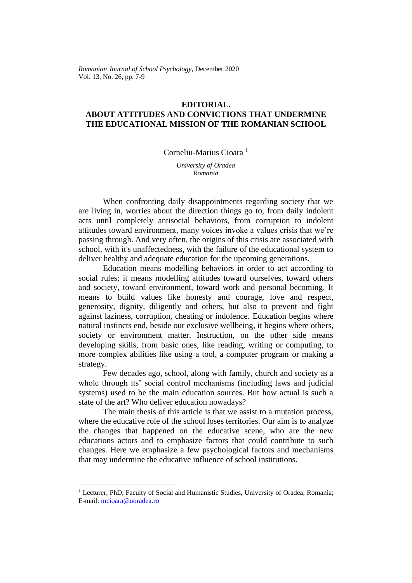*Romanian Journal of School Psychology*, December 2020 Vol. 13, No. 26, pp. 7-9

#### **EDITORIAL.**

# **ABOUT ATTITUDES AND CONVICTIONS THAT UNDERMINE THE EDUCATIONAL MISSION OF THE ROMANIAN SCHOOL**

Corneliu-Marius Cioara<sup>1</sup>

*University of Oradea Romania*

When confronting daily disappointments regarding society that we are living in, worries about the direction things go to, from daily indolent acts until completely antisocial behaviors, from corruption to indolent attitudes toward environment, many voices invoke a values crisis that we're passing through. And very often, the origins of this crisis are associated with school, with it's unaffectedness, with the failure of the educational system to deliver healthy and adequate education for the upcoming generations.

Education means modelling behaviors in order to act according to social rules; it means modelling attitudes toward ourselves, toward others and society, toward environment, toward work and personal becoming. It means to build values like honesty and courage, love and respect, generosity, dignity, diligently and others, but also to prevent and fight against laziness, corruption, cheating or indolence. Education begins where natural instincts end, beside our exclusive wellbeing, it begins where others, society or environment matter. Instruction, on the other side means developing skills, from basic ones, like reading, writing or computing, to more complex abilities like using a tool, a computer program or making a strategy.

Few decades ago, school, along with family, church and society as a whole through its' social control mechanisms (including laws and judicial systems) used to be the main education sources. But how actual is such a state of the art? Who deliver education nowadays?

The main thesis of this article is that we assist to a mutation process, where the educative role of the school loses territories. Our aim is to analyze the changes that happened on the educative scene, who are the new educations actors and to emphasize factors that could contribute to such changes. Here we emphasize a few psychological factors and mechanisms that may undermine the educative influence of school institutions.

<sup>&</sup>lt;sup>1</sup> Lecturer, PhD, Faculty of Social and Humanistic Studies, University of Oradea, Romania; E-mail: [mcioara@uoradea.ro](mailto:mcioara@uoradea.ro)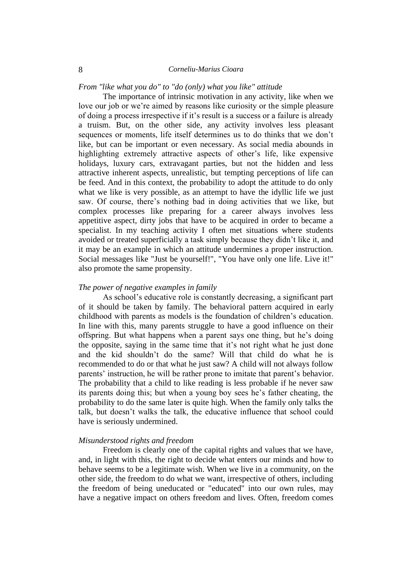*From "like what you do" to "do (only) what you like" attitude*

The importance of intrinsic motivation in any activity, like when we love our job or we're aimed by reasons like curiosity or the simple pleasure of doing a process irrespective if it's result is a success or a failure is already a truism. But, on the other side, any activity involves less pleasant sequences or moments, life itself determines us to do thinks that we don't like, but can be important or even necessary. As social media abounds in highlighting extremely attractive aspects of other's life, like expensive holidays, luxury cars, extravagant parties, but not the hidden and less attractive inherent aspects, unrealistic, but tempting perceptions of life can be feed. And in this context, the probability to adopt the attitude to do only what we like is very possible, as an attempt to have the idyllic life we just saw. Of course, there's nothing bad in doing activities that we like, but complex processes like preparing for a career always involves less appetitive aspect, dirty jobs that have to be acquired in order to became a specialist. In my teaching activity I often met situations where students avoided or treated superficially a task simply because they didn't like it, and it may be an example in which an attitude undermines a proper instruction. Social messages like "Just be yourself!", "You have only one life. Live it!" also promote the same propensity.

### *The power of negative examples in family*

As school's educative role is constantly decreasing, a significant part of it should be taken by family. The behavioral pattern acquired in early childhood with parents as models is the foundation of children's education. In line with this, many parents struggle to have a good influence on their offspring. But what happens when a parent says one thing, but he's doing the opposite, saying in the same time that it's not right what he just done and the kid shouldn't do the same? Will that child do what he is recommended to do or that what he just saw? A child will not always follow parents' instruction, he will be rather prone to imitate that parent's behavior. The probability that a child to like reading is less probable if he never saw its parents doing this; but when a young boy sees he's father cheating, the probability to do the same later is quite high. When the family only talks the talk, but doesn't walks the talk, the educative influence that school could have is seriously undermined.

# *Misunderstood rights and freedom*

Freedom is clearly one of the capital rights and values that we have, and, in light with this, the right to decide what enters our minds and how to behave seems to be a legitimate wish. When we live in a community, on the other side, the freedom to do what we want, irrespective of others, including the freedom of being uneducated or "educated" into our own rules, may have a negative impact on others freedom and lives. Often, freedom comes